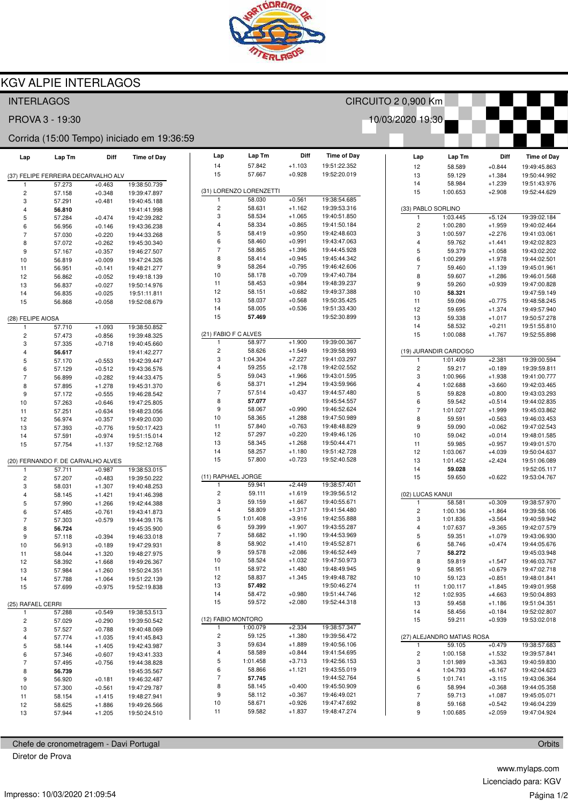

CIRCUITO 2 0,900 Km

10/03/2020 19:30

## **KGV ALPIE INTERLAGOS**

## **INTERLAGOS**

PROVA 3 - 19:30

## Corrida (15:00 Tempo) iniciado em 19:36:59

| Lap                                | Lap Tm                              | Diff                 | <b>Time of Day</b>           | Lap                      | Lap Tm                  | Diff                 | <b>Time of Day</b>           | Lap                      | Lap Tm                     | Diff                 | <b>Time of Day</b>           |
|------------------------------------|-------------------------------------|----------------------|------------------------------|--------------------------|-------------------------|----------------------|------------------------------|--------------------------|----------------------------|----------------------|------------------------------|
|                                    |                                     |                      |                              | 14<br>15                 | 57.842<br>57.667        | $+1.103$             | 19:51:22.352<br>19:52:20.019 | 12                       | 58.589                     | $+0.844$             | 19:49:45.863                 |
|                                    | (37) FELIPE FERREIRA DECARVALHO ALV |                      |                              |                          |                         | $+0.928$             |                              | 13                       | 59.129                     | $+1.384$             | 19:50:44.992                 |
| 1                                  | 57.273                              | $+0.463$             | 19:38:50.739                 |                          | (31) LORENZO LORENZETTI |                      |                              | 14<br>15                 | 58.984<br>1:00.653         | $+1.239$<br>$+2.908$ | 19:51:43.976<br>19:52:44.629 |
| $\mathbf 2$<br>3                   | 57.158<br>57.291                    | $+0.348$<br>$+0.481$ | 19:39:47.897<br>19:40:45.188 | 1                        | 58.030                  | $+0.561$             | 19:38:54.685                 |                          |                            |                      |                              |
| 4                                  | 56.810                              |                      | 19:41:41.998                 | $\overline{c}$           | 58.631                  | $+1.162$             | 19:39:53.316                 |                          | (33) PABLO SORLINO         |                      |                              |
| 5                                  | 57.284                              | $+0.474$             | 19:42:39.282                 | 3                        | 58.534                  | $+1.065$             | 19:40:51.850                 | $\overline{1}$           | 1:03.445                   | $+5.124$             | 19:39:02.184                 |
| 6                                  | 56.956                              | $+0.146$             | 19:43:36.238                 | 4                        | 58.334                  | $+0.865$             | 19:41:50.184                 | $\sqrt{2}$               | 1:00.280                   | $+1.959$             | 19:40:02.464                 |
| $\overline{7}$                     | 57.030                              | $+0.220$             | 19:44:33.268                 | 5                        | 58.419                  | $+0.950$             | 19:42:48.603                 | 3                        | 1:00.597                   | $+2.276$             | 19:41:03.061                 |
| 8                                  | 57.072                              | $+0.262$             | 19:45:30.340                 | 6                        | 58.460                  | $+0.991$             | 19:43:47.063                 | 4                        | 59.762                     | $+1.441$             | 19:42:02.823                 |
| 9                                  | 57.167                              | $+0.357$             | 19:46:27.507                 | $\overline{\mathcal{I}}$ | 58.865                  | $+1.396$             | 19:44:45.928                 | 5                        | 59.379                     | $+1.058$             | 19:43:02.202                 |
| 10                                 | 56.819                              | $+0.009$             | 19:47:24.326                 | 8                        | 58.414                  | $+0.945$             | 19:45:44.342                 | 6                        | 1:00.299                   | $+1.978$             | 19:44:02.501                 |
| 11                                 | 56.951                              | $+0.141$             | 19:48:21.277                 | 9                        | 58.264                  | $+0.795$             | 19:46:42.606                 | $\overline{\phantom{a}}$ | 59.460                     | $+1.139$             | 19:45:01.961                 |
| 12                                 | 56.862                              | $+0.052$             | 19:49:18.139                 | 10                       | 58.178                  | $+0.709$             | 19:47:40.784                 | 8                        | 59.607                     | $+1.286$             | 19:46:01.568                 |
| 13                                 | 56.837                              | $+0.027$             | 19:50:14.976                 | 11                       | 58.453                  | $+0.984$             | 19:48:39.237                 | $\boldsymbol{9}$         | 59.260                     | $+0.939$             | 19:47:00.828                 |
| 14                                 | 56.835                              | $+0.025$             | 19:51:11.811                 | 12                       | 58.151                  | $+0.682$             | 19:49:37.388                 | $10$                     | 58.321                     |                      | 19:47:59.149                 |
| 15                                 | 56.868                              | $+0.058$             | 19:52:08.679                 | 13                       | 58.037                  | $+0.568$             | 19:50:35.425                 | 11                       | 59.096                     | $+0.775$             | 19:48:58.245                 |
|                                    |                                     |                      |                              | 14                       | 58.005                  | $+0.536$             | 19:51:33.430                 | 12                       | 59.695                     | $+1.374$             | 19:49:57.940                 |
| (28) FELIPE AIOSA                  |                                     |                      |                              | 15                       | 57.469                  |                      | 19:52:30.899                 | 13                       | 59.338                     | $+1.017$             | 19:50:57.278                 |
|                                    | 57.710                              | $+1.093$             | 19:38:50.852                 |                          | (21) FABIO F C ALVES    |                      |                              | 14                       | 58.532                     | $+0.211$             | 19:51:55.810                 |
| $\overline{\mathbf{c}}$            | 57.473                              | $+0.856$             | 19:39:48.325                 | 1                        | 58.977                  | $+1.900$             | 19:39:00.367                 | 15                       | 1:00.088                   | $+1.767$             | 19:52:55.898                 |
| 3                                  | 57.335                              | $+0.718$             | 19:40:45.660                 | 2                        | 58.626                  | $+1.549$             | 19:39:58.993                 |                          | (19) JURANDIR CARDOSO      |                      |                              |
| 4<br>5                             | 56.617                              |                      | 19:41:42.277                 | 3                        | 1:04.304                | $+7.227$             | 19:41:03.297                 | $\overline{1}$           | 1:01.409                   | $+2.381$             | 19:39:00.594                 |
| 6                                  | 57.170<br>57.129                    | $+0.553$<br>$+0.512$ | 19:42:39.447<br>19:43:36.576 | 4                        | 59.255                  | $+2.178$             | 19:42:02.552                 | $\overline{c}$           | 59.217                     | $+0.189$             | 19:39:59.811                 |
| $\overline{7}$                     | 56.899                              | $+0.282$             | 19:44:33.475                 | 5                        | 59.043                  | $+1.966$             | 19:43:01.595                 | 3                        | 1:00.966                   | $+1.938$             | 19:41:00.777                 |
| 8                                  | 57.895                              | $+1.278$             | 19:45:31.370                 | 6                        | 58.371                  | $+1.294$             | 19:43:59.966                 | $\overline{4}$           | 1:02.688                   | $+3.660$             | 19:42:03.465                 |
| 9                                  | 57.172                              | $+0.555$             | 19:46:28.542                 | $\overline{7}$           | 57.514                  | $+0.437$             | 19:44:57.480                 | 5                        | 59.828                     | $+0.800$             | 19:43:03.293                 |
| 10                                 | 57.263                              | $+0.646$             | 19:47:25.805                 | 8                        | 57.077                  |                      | 19:45:54.557                 | 6                        | 59.542                     | $+0.514$             | 19:44:02.835                 |
| 11                                 | 57.251                              | $+0.634$             | 19:48:23.056                 | $\boldsymbol{9}$         | 58.067                  | $+0.990$             | 19:46:52.624                 | $\overline{7}$           | 1:01.027                   | $+1.999$             | 19:45:03.862                 |
| 12                                 | 56.974                              | $+0.357$             | 19:49:20.030                 | 10                       | 58.365                  | $+1.288$             | 19:47:50.989                 | 8                        | 59.591                     | $+0.563$             | 19:46:03.453                 |
| 13                                 | 57.393                              | $+0.776$             | 19:50:17.423                 | 11                       | 57.840                  | $+0.763$             | 19:48:48.829                 | 9                        | 59.090                     | $+0.062$             | 19:47:02.543                 |
| 14                                 | 57.591                              | $+0.974$             | 19:51:15.014                 | 12                       | 57.297                  | $+0.220$             | 19:49:46.126                 | 10                       | 59.042                     | $+0.014$             | 19:48:01.585                 |
| 15                                 | 57.754                              | $+1.137$             | 19:52:12.768                 | 13                       | 58.345                  | $+1.268$             | 19:50:44.471                 | 11                       | 59.985                     | $+0.957$             | 19:49:01.570                 |
|                                    |                                     |                      |                              | 14                       | 58.257                  | $+1.180$             | 19:51:42.728                 | 12                       | 1:03.067                   | $+4.039$             | 19:50:04.637                 |
| (20) FERNANDO F. DE CARVALHO ALVES |                                     |                      |                              | 15                       | 57.800                  | $+0.723$             | 19:52:40.528                 | 13                       | 1:01.452                   | $+2.424$             | 19:51:06.089                 |
| -1                                 | 57.711                              | $+0.987$             | 19:38:53.015                 |                          |                         |                      |                              | 14                       | 59.028                     |                      | 19:52:05.117                 |
| $\overline{\mathbf{c}}$            | 57.207                              | $+0.483$             | 19:39:50.222                 |                          | (11) RAPHAEL JORGE      |                      |                              | 15                       | 59.650                     | $+0.622$             | 19:53:04.767                 |
| 3                                  | 58.031                              | $+1.307$             | 19:40:48.253                 | $\overline{1}$           | 59.941<br>59.111        | $+2.449$             | 19:38:57.401                 |                          |                            |                      |                              |
| 4                                  | 58.145                              | $+1.421$             | 19:41:46.398                 | 2<br>3                   | 59.159                  | $+1.619$<br>$+1.667$ | 19:39:56.512<br>19:40:55.671 | (02) LUCAS KANUI         |                            |                      |                              |
| 5                                  | 57.990                              | $+1.266$             | 19:42:44.388                 | 4                        | 58.809                  | $+1.317$             | 19:41:54.480                 | 1<br>$\sqrt{2}$          | 58.581<br>1:00.136         | $+0.309$<br>$+1.864$ | 19:38:57.970<br>19:39:58.106 |
| 6<br>$\overline{7}$                | 57.485<br>57.303                    | $+0.761$             | 19:43:41.873                 | 5                        | 1:01.408                | $+3.916$             | 19:42:55.888                 | 3                        | 1:01.836                   | $+3.564$             | 19:40:59.942                 |
| 8                                  | 56.724                              | $+0.579$             | 19:44:39.176<br>19:45:35.900 | 6                        | 59.399                  | $+1.907$             | 19:43:55.287                 | $\overline{4}$           | 1:07.637                   | $+9.365$             | 19:42:07.579                 |
| 9                                  | 57.118                              | $+0.394$             | 19:46:33.018                 | $\overline{7}$           | 58.682                  | $+1.190$             | 19:44:53.969                 | 5                        | 59.351                     | $+1.079$             | 19:43:06.930                 |
| 10                                 | 56.913                              | $+0.189$             | 19:47:29.931                 | 8                        | 58.902                  | $+1.410$             | 19:45:52.871                 | 6                        | 58.746                     | $+0.474$             | 19:44:05.676                 |
| 11                                 | 58.044                              | $+1.320$             | 19:48:27.975                 | 9                        | 59.578                  | $+2.086$             | 19:46:52.449                 | $\overline{7}$           | 58.272                     |                      | 19:45:03.948                 |
| 12                                 | 58.392                              | $+1.668$             | 19:49:26.367                 | 10                       | 58.524                  | $+1.032$             | 19:47:50.973                 | 8                        | 59.819                     | $+1.547$             | 19:46:03.767                 |
| 13                                 | 57.984                              | $+1.260$             | 19:50:24.351                 | 11                       | 58.972                  | $+1.480$             | 19:48:49.945                 | 9                        | 58.951                     | $+0.679$             | 19:47:02.718                 |
| 14                                 | 57.788                              | $+1.064$             | 19:51:22.139                 | 12                       | 58.837                  | +1.345               | 19:49:48.782                 | 10                       | 59.123                     | $+0.851$             | 19:48:01.841                 |
| 15                                 | 57.699                              | $+0.975$             | 19:52:19.838                 | 13                       | 57.492                  |                      | 19:50:46.274                 | 11                       | 1:00.117                   | $+1.845$             | 19:49:01.958                 |
|                                    |                                     |                      |                              | 14                       | 58.472                  | $+0.980$             | 19:51:44.746                 | 12                       | 1:02.935                   | $+4.663$             | 19:50:04.893                 |
| (25) RAFAEL CERRI                  |                                     |                      |                              | 15                       | 59.572                  | $+2.080$             | 19:52:44.318                 | 13                       | 59.458                     | $+1.186$             | 19:51:04.351                 |
| 1                                  | 57.288                              | $+0.549$             | 19:38:53.513                 |                          |                         |                      |                              | 14                       | 58.456                     | $+0.184$             | 19:52:02.807                 |
| $\overline{\mathbf{c}}$            | 57.029                              | $+0.290$             | 19:39:50.542                 |                          | (12) FABIO MONTORO      |                      |                              | 15                       | 59.211                     | $+0.939$             | 19:53:02.018                 |
| 3                                  | 57.527                              | $+0.788$             | 19:40:48.069                 |                          | 1:00.079                | $+2.334$             | 19:38:57.347                 |                          |                            |                      |                              |
| 4                                  | 57.774                              | $+1.035$             | 19:41:45.843                 | $\overline{c}$           | 59.125                  | $+1.380$             | 19:39:56.472                 |                          | (27) ALEJANDRO MATIAS ROSA |                      |                              |
| 5                                  | 58.144                              | $+1.405$             | 19:42:43.987                 | 3                        | 59.634                  | $+1.889$             | 19:40:56.106                 | $\mathbf{1}$             | 59.105                     | $+0.479$             | 19:38:57.683                 |
| 6                                  | 57.346                              | $+0.607$             | 19:43:41.333                 | 4                        | 58.589                  | $+0.844$             | 19:41:54.695                 | $\overline{\mathbf{c}}$  | 1:00.158                   | $+1.532$             | 19:39:57.841                 |
| $\overline{7}$                     | 57.495                              | $+0.756$             | 19:44:38.828                 | 5<br>6                   | 1:01.458<br>58.866      | $+3.713$<br>$+1.121$ | 19:42:56.153<br>19:43:55.019 | 3                        | 1:01.989                   | $+3.363$             | 19:40:59.830                 |
| 8                                  | 56.739                              |                      | 19:45:35.567                 | $\overline{7}$           | 57.745                  |                      | 19:44:52.764                 | 4<br>5                   | 1:04.793                   | $+6.167$             | 19:42:04.623                 |
| 9                                  | 56.920                              | $+0.181$             | 19:46:32.487                 | 8                        | 58.145                  | $+0.400$             | 19:45:50.909                 | 6                        | 1:01.741<br>58.994         | $+3.115$<br>$+0.368$ | 19:43:06.364<br>19:44:05.358 |
| 10                                 | 57.300                              | $+0.561$             | 19:47:29.787                 | 9                        | 58.112                  | $+0.367$             | 19:46:49.021                 | $\sqrt{7}$               | 59.713                     | $+1.087$             | 19:45:05.071                 |
| 11<br>12                           | 58.154<br>58.625                    | $+1.415$<br>$+1.886$ | 19:48:27.941<br>19:49:26.566 | 10                       | 58.671                  | $+0.926$             | 19:47:47.692                 | 8                        | 59.168                     | $+0.542$             | 19:46:04.239                 |
| 13                                 | 57.944                              | $+1.205$             | 19:50:24.510                 | 11                       | 59.582                  | $+1.837$             | 19:48:47.274                 | 9                        | 1:00.685                   | $+2.059$             | 19:47:04.924                 |
|                                    |                                     |                      |                              |                          |                         |                      |                              |                          |                            |                      |                              |

Chefe de cronometragem - Davi Portugal

Diretor de Prova

www.mylaps.com Licenciado para: KGV Página 1/2

Orbits